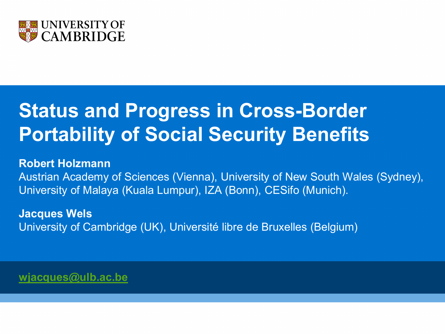

# **Status and Progress in Cross-Border Portability of Social Security Benefits**

**Robert Holzmann** Austrian Academy of Sciences (Vienna), University of New South Wales (Sydney), University of Malaya (Kuala Lumpur), IZA (Bonn), CESifo (Munich).

**Jacques Wels** University of Cambridge (UK), Université libre de Bruxelles (Belgium)

**[wjacques@ulb.ac.be](mailto:wjacques@ulb.ac.be)**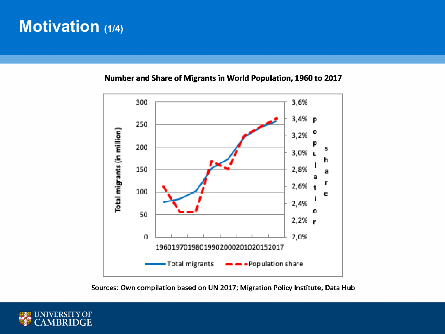### **Motivation (1/4)**





Sources: Own compilation based on UN 2017; Migration Policy Institute, Data Hub

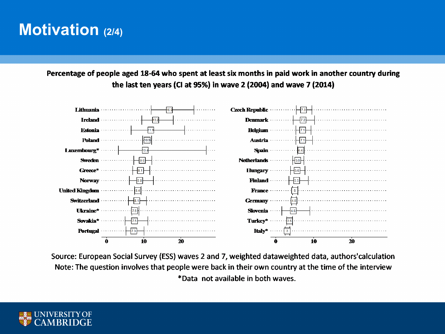# **Motivation (2/4)**



Percentage of people aged 18-64 who spent at least six months in paid work in another country during the last ten years (CI at 95%) in wave 2 (2004) and wave 7 (2014)

Source: European Social Survey (ESS) waves 2 and 7, weighted dataweighted data, authors' calculation Note: The question involves that people were back in their own country at the time of the interview \*Data not available in both waves.

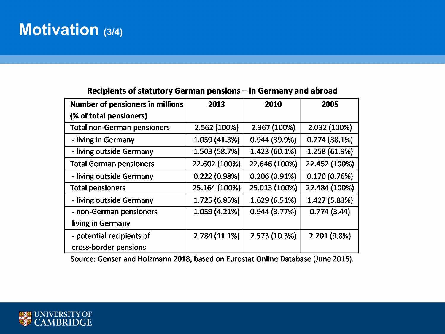### **Motivation (3/4)**

#### Recipients of statutory German pensions - in Germany and abroad

| <b>Number of pensioners in millions</b> | 2013          | 2010          | 2005          |
|-----------------------------------------|---------------|---------------|---------------|
| (% of total pensioners)                 |               |               |               |
| <b>Total non-German pensioners</b>      | 2.562 (100%)  | 2.367 (100%)  | 2.032 (100%)  |
| - living in Germany                     | 1.059 (41.3%) | 0.944 (39.9%) | 0.774(38.1%)  |
| - living outside Germany                | 1.503 (58.7%) | 1.423 (60.1%) | 1.258 (61.9%) |
| <b>Total German pensioners</b>          | 22.602 (100%) | 22.646 (100%) | 22.452 (100%) |
| - living outside Germany                | 0.222(0.98%)  | 0.206(0.91%)  | 0.170(0.76%)  |
| <b>Total pensioners</b>                 | 25.164 (100%) | 25.013 (100%) | 22.484 (100%) |
| - living outside Germany                | 1.725 (6.85%) | 1.629 (6.51%) | 1.427 (5.83%) |
| - non-German pensioners                 | 1.059 (4.21%) | 0.944 (3.77%) | 0.774(3.44)   |
| living in Germany                       |               |               |               |
| - potential recipients of               | 2.784 (11.1%) | 2.573 (10.3%) | 2.201 (9.8%)  |
| cross-border pensions                   |               |               |               |

Source: Genser and Holzmann 2018, based on Eurostat Online Database (June 2015).

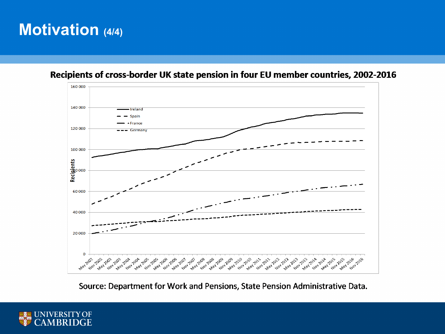# **Motivation (4/4)**

Recipients of cross-border UK state pension in four EU member countries, 2002-2016



Source: Department for Work and Pensions, State Pension Administrative Data.

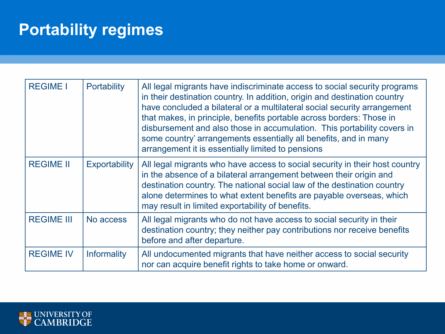# **Portability regimes**

| <b>REGIME I</b>   | <b>Portability</b> | All legal migrants have indiscriminate access to social security programs<br>in their destination country. In addition, origin and destination country<br>have concluded a bilateral or a multilateral social security arrangement<br>that makes, in principle, benefits portable across borders: Those in<br>disbursement and also those in accumulation. This portability covers in<br>some country' arrangements essentially all benefits, and in many<br>arrangement it is essentially limited to pensions |
|-------------------|--------------------|----------------------------------------------------------------------------------------------------------------------------------------------------------------------------------------------------------------------------------------------------------------------------------------------------------------------------------------------------------------------------------------------------------------------------------------------------------------------------------------------------------------|
| <b>REGIME II</b>  | Exportability      | All legal migrants who have access to social security in their host country<br>in the absence of a bilateral arrangement between their origin and<br>destination country. The national social law of the destination country<br>alone determines to what extent benefits are payable overseas, which<br>may result in limited exportability of benefits.                                                                                                                                                       |
| <b>REGIME III</b> | No access          | All legal migrants who do not have access to social security in their<br>destination country; they neither pay contributions nor receive benefits<br>before and after departure.                                                                                                                                                                                                                                                                                                                               |
| <b>REGIME IV</b>  | <b>Informality</b> | All undocumented migrants that have neither access to social security<br>nor can acquire benefit rights to take home or onward.                                                                                                                                                                                                                                                                                                                                                                                |

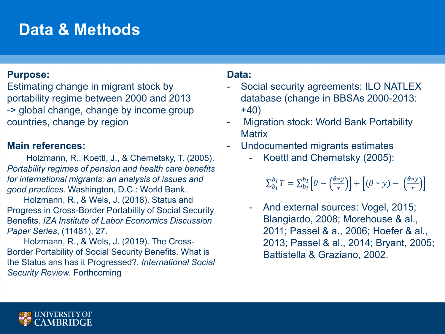# **Data & Methods**

### **Purpose:**

Estimating change in migrant stock by portability regime between 2000 and 2013 -> global change, change by income group countries, change by region

### **Main references:**

Holzmann, R., Koettl, J., & Chernetsky, T. (2005). *Portability regimes of pension and health care benefits for international migrants: an analysis of issues and good practices*. Washington, D.C.: World Bank.

Holzmann, R., & Wels, J. (2018). Status and Progress in Cross-Border Portability of Social Security Benefits. *IZA Institute of Labor Economics Discussion Paper Series*, (11481), 27.

Holzmann, R., & Wels, J. (2019). The Cross-Border Portability of Social Security Benefits. What is the Status ans has it Progressed?. *International Social Security Review.* Forthcoming

### **Data:**

- Social security agreements: ILO NATLEX database (change in BBSAs 2000-2013: +40)
- Migration stock: World Bank Portability **Matrix**
- Undocumented migrants estimates
	- Koettl and Chernetsky (2005):

 $\sum_{b_i}^{b_i} T = \sum_{b_i}^{b_i} \left[ \theta - \left( \frac{\theta * y}{x} \right) \right] + \left[ \left( \theta * y \right) - \left( \frac{\theta * y}{x} \right) \right]$ 

- And external sources: Vogel, 2015; Blangiardo, 2008; Morehouse & al., 2011; Passel & a., 2006; Hoefer & al., 2013; Passel & al., 2014; Bryant, 2005; Battistella & Graziano, 2002.

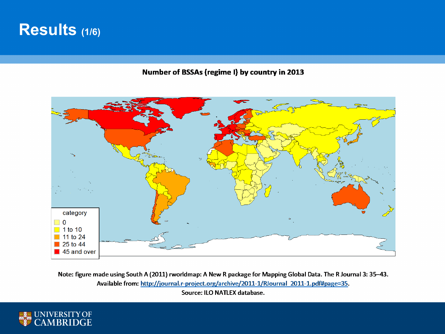### **Results (1/6)**

#### Number of BSSAs (regime I) by country in 2013



Note: figure made using South A (2011) rworldmap: A New R package for Mapping Global Data. The R Journal 3: 35-43. Available from: http://journal.r-project.org/archive/2011-1/RJournal 2011-1.pdf#page=35.

Source: ILO NATLEX database.

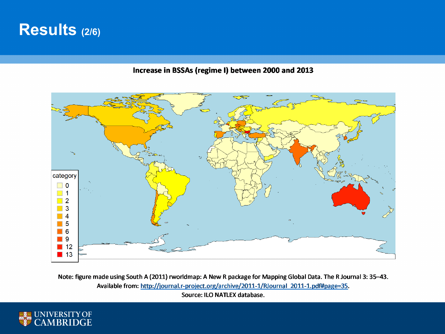### **Results (2/6)**

#### Increase in BSSAs (regime I) between 2000 and 2013



Note: figure made using South A (2011) rworldmap: A New R package for Mapping Global Data. The R Journal 3: 35-43. Available from: http://journal.r-project.org/archive/2011-1/RJournal 2011-1.pdf#page=35.

Source: ILO NATLEX database.

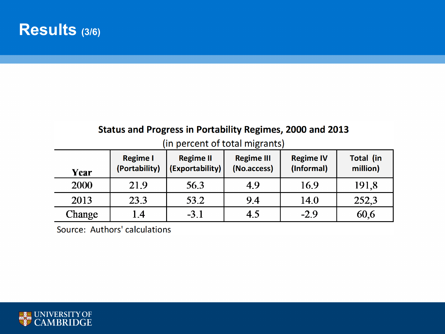### **Results (3/6)**

### Status and Progress in Portability Regimes, 2000 and 2013

| Year   | <b>Regime I</b><br>(Portability) | <b>Regime II</b><br>(Exportability) | <b>Regime III</b><br>(No.access) | <b>Regime IV</b><br>(Informal) | <b>Total (in</b><br>million) |
|--------|----------------------------------|-------------------------------------|----------------------------------|--------------------------------|------------------------------|
| 2000   | 21.9                             | 56.3                                | 4.9                              | 16.9                           | 191,8                        |
| 2013   | 23.3                             | 53.2                                | 9.4                              | 14.0                           | 252,3                        |
| Change | 1.4                              | $-3.1$                              | 4.5                              | $-2.9$                         | 60,6                         |

(in percent of total migrants)

Source: Authors' calculations

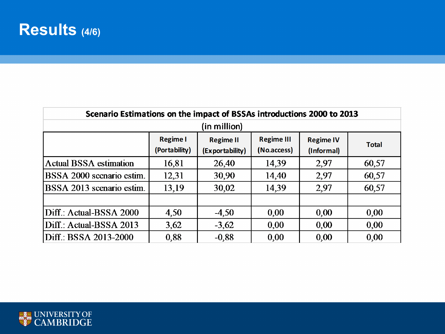### **Results (4/6)**

| Scenario Estimations on the impact of BSSAs introductions 2000 to 2013                                                                                        |       |         |       |      |       |  |  |  |  |  |
|---------------------------------------------------------------------------------------------------------------------------------------------------------------|-------|---------|-------|------|-------|--|--|--|--|--|
| (in million)                                                                                                                                                  |       |         |       |      |       |  |  |  |  |  |
| <b>Regime I</b><br><b>Regime III</b><br><b>Regime II</b><br><b>Regime IV</b><br><b>Total</b><br>(Portability)<br>(No.access)<br>(Exportability)<br>(Informal) |       |         |       |      |       |  |  |  |  |  |
| <b>Actual BSSA</b> estimation                                                                                                                                 | 16,81 | 26,40   | 14,39 | 2,97 | 60,57 |  |  |  |  |  |
| BSSA 2000 scenario estim.                                                                                                                                     | 12,31 | 30,90   | 14,40 | 2,97 | 60,57 |  |  |  |  |  |
| BSSA 2013 scenario estim.                                                                                                                                     | 13,19 | 30,02   | 14,39 | 2,97 | 60,57 |  |  |  |  |  |
|                                                                                                                                                               |       |         |       |      |       |  |  |  |  |  |
| Diff.: Actual-BSSA 2000                                                                                                                                       | 4,50  | $-4,50$ | 0,00  | 0,00 | 0,00  |  |  |  |  |  |
| Diff.: Actual-BSSA 2013                                                                                                                                       | 3,62  | $-3,62$ | 0,00  | 0,00 | 0,00  |  |  |  |  |  |
| Diff.: BSSA 2013-2000                                                                                                                                         | 0,88  | $-0,88$ | 0,00  | 0,00 | 0,00  |  |  |  |  |  |

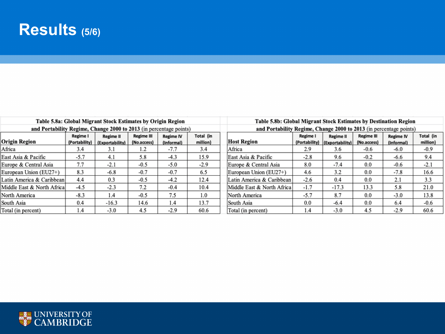### **Results (5/6)**

| Table 5.8a: Global Migrant Stock Estimates by Origin Region        |          |                                            |                                  | Table 5.8b: Global Migrant Stock Estimates by Destination Region |                                                                    |                            |                                  |                                      |                       |        |        |
|--------------------------------------------------------------------|----------|--------------------------------------------|----------------------------------|------------------------------------------------------------------|--------------------------------------------------------------------|----------------------------|----------------------------------|--------------------------------------|-----------------------|--------|--------|
| and Portability Regime, Change 2000 to 2013 (in percentage points) |          |                                            |                                  |                                                                  | and Portability Regime, Change 2000 to 2013 (in percentage points) |                            |                                  |                                      |                       |        |        |
| <b>Origin Region</b>                                               | Regime I | Regime II<br>(Portability) (Exportability) | <b>Regime III</b><br>(No.access) | <b>Regime IV</b><br>(Informal)                                   | Total (in<br>million)                                              | <b>Host Region</b>         | <b>Regime III</b><br>(No.access) | <b>Regime IV</b><br>(Informal)       | Total (in<br>million) |        |        |
| Africa                                                             | 3.4      | 3.1                                        | 1.2                              | $-7.7$                                                           | 3.4                                                                | Africa                     | 2.9                              | (Portability) (Exportability)<br>3.6 | $-0.6$                | $-6.0$ | $-0.9$ |
| East Asia & Pacific                                                | $-5.7$   | 4.1                                        | 5.8                              | $-4.3$                                                           | 15.9                                                               | East Asia & Pacific        | $-2.8$                           | 9.6                                  | $-0.2$                | $-6.6$ | 9.4    |
| Europe & Central Asia                                              | 7.7      | $-2.1$                                     | $-0.5$                           | $-5.0$                                                           | $-2.9$                                                             | Europe & Central Asia      | 8.0                              | $-7.4$                               | 0.0                   | $-0.6$ | $-2.1$ |
| European Union (EU27+)                                             | 8.3      | $-6.8$                                     | $-0.7$                           | $-0.7$                                                           | 6.5                                                                | European Union (EU27+)     | 4.6                              | 3.2                                  | 0.0                   | $-7.8$ | 16.6   |
| Latin America & Caribbean                                          | 4.4      | 0.3                                        | $-0.5$                           | $-4.2$                                                           | 12.4                                                               | Latin America & Caribbean  | $-2.6$                           | 0.4                                  | 0.0                   | 2.1    | 3.3    |
| Middle East & North Africal                                        | $-4.5$   | $-2.3$                                     | 7.2                              | $-0.4$                                                           | 10.4                                                               | Middle East & North Africa | $-1.7$                           | $-17.3$                              | 13.3                  | 5.8    | 21.0   |
| North America                                                      | $-8.3$   | 1.4                                        | $-0.5$                           | 7.5                                                              | 1.0                                                                | North America              | $-5.7$                           | 8.7                                  | 0.0                   | $-3.0$ | 13.8   |
| South Asia                                                         | 0.4      | $-16.3$                                    | 14.6                             | 1.4                                                              | 13.7                                                               | South Asia                 | 0.0                              | $-6.4$                               | 0.0                   | 6.4    | $-0.6$ |
| Total (in percent)                                                 | 1.4      | $-3.0$                                     | 4.5                              | $-2.9$                                                           | 60.6                                                               | Total (in percent)         | 1.4                              | $-3.0$                               | 4.5                   | $-2.9$ | 60.6   |

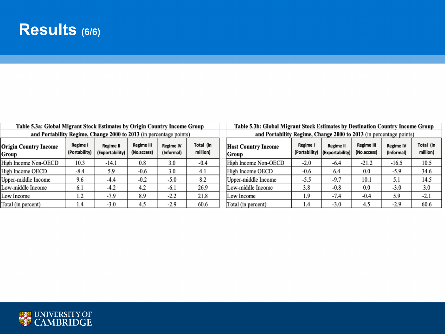### **Results (6/6)**

| Table 5.3a: Global Migrant Stock Estimates by Origin Country Income Group |                           |                              |                           | Table 5.3b: Global Migrant Stock Estimates by Destination Country Income Group |                       |                                      |                           |                                     |                           |                         |                       |
|---------------------------------------------------------------------------|---------------------------|------------------------------|---------------------------|--------------------------------------------------------------------------------|-----------------------|--------------------------------------|---------------------------|-------------------------------------|---------------------------|-------------------------|-----------------------|
| and Portability Regime, Change 2000 to 2013 (in percentage points)        |                           |                              |                           | and Portability Regime, Change 2000 to 2013 (in percentage points)             |                       |                                      |                           |                                     |                           |                         |                       |
| <b>Origin Country Income</b><br>Group                                     | Regime I<br>(Portability) | Regime II<br>(Exportability) | Regime III<br>(No.access) | Regime IV<br>(Informal)                                                        | Total (in<br>million) | <b>Host Country Income</b><br> Group | Regime I<br>(Portability) | <b>Regime II</b><br>(Exportability) | Regime III<br>(No.access) | Regime IV<br>(Informal) | Total (in<br>million) |
| High Income Non-OECD                                                      | 10.3                      | $-14.1$                      | 0.8                       | 3.0                                                                            | $-0.4$                | High Income Non-OECD                 | $-2.0$                    | $-6.4$                              | $-21.2$                   | $-16.5$                 | 10.5                  |
| High Income OECD                                                          | $-8.4$                    | 5.9                          | $-0.6$                    | 3.0                                                                            | 4.1                   | High Income OECD                     | $-0.6$                    | 6.4                                 | 0.0                       | $-5.9$                  | 34.6                  |
| Upper-middle Income                                                       | 9.6                       | -4.4                         | $-0.2$                    | $-5.0$                                                                         | 8.2                   | Upper-middle Income                  | $-5.5$                    | $-9.7$                              | 10.1                      | 5.1                     | 14.5                  |
| Low-middle Income                                                         | 6.1                       | $-4.2$                       | 4.2                       | $-6.1$                                                                         | 26.9                  | Low-middle Income                    | 3.8                       | $-0.8$                              | 0.0                       | $-3.0$                  | 3.0                   |
| Low Income                                                                | 1.2                       | $-7.9$                       | 8.9                       | $-2.2$                                                                         | 21.8                  | Low Income                           | 1.9                       | $-7.4$                              | $-0.4$                    | 5.9                     | $-2.1$                |
| Total (in percent)                                                        | 1.4                       | $-3.0$                       | 4.5                       | $-2.9$                                                                         | 60.6                  | Total (in percent)                   | 1.4                       | $-3.0$                              | 4.5                       | $-2.9$                  | 60.6                  |

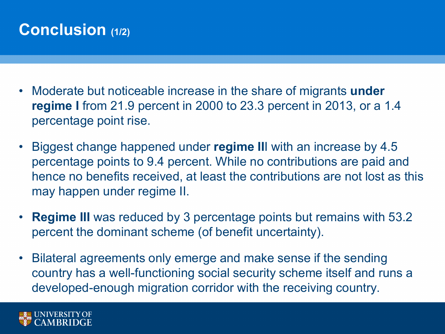# **Conclusion (1/2)**

- Moderate but noticeable increase in the share of migrants **under regime I** from 21.9 percent in 2000 to 23.3 percent in 2013, or a 1.4 percentage point rise.
- Biggest change happened under **regime II**I with an increase by 4.5 percentage points to 9.4 percent. While no contributions are paid and hence no benefits received, at least the contributions are not lost as this may happen under regime II.
- **Regime III** was reduced by 3 percentage points but remains with 53.2 percent the dominant scheme (of benefit uncertainty).
- Bilateral agreements only emerge and make sense if the sending country has a well-functioning social security scheme itself and runs a developed-enough migration corridor with the receiving country.